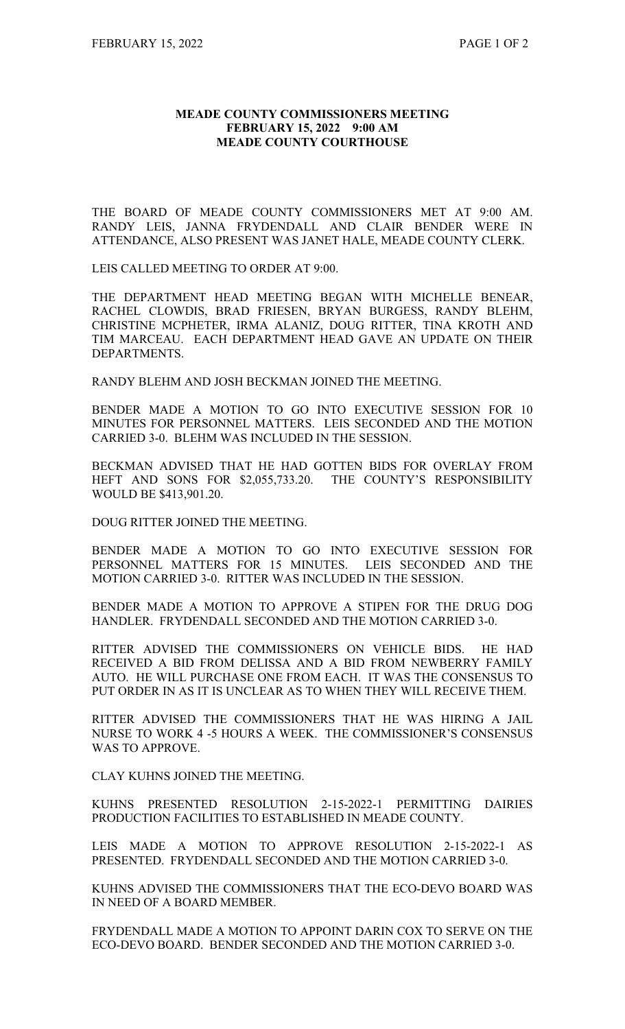## **MEADE COUNTY COMMISSIONERS MEETING FEBRUARY 15, 2022 9:00 AM MEADE COUNTY COURTHOUSE**

THE BOARD OF MEADE COUNTY COMMISSIONERS MET AT 9:00 AM. RANDY LEIS, JANNA FRYDENDALL AND CLAIR BENDER WERE IN ATTENDANCE, ALSO PRESENT WAS JANET HALE, MEADE COUNTY CLERK.

LEIS CALLED MEETING TO ORDER AT 9:00.

THE DEPARTMENT HEAD MEETING BEGAN WITH MICHELLE BENEAR, RACHEL CLOWDIS, BRAD FRIESEN, BRYAN BURGESS, RANDY BLEHM, CHRISTINE MCPHETER, IRMA ALANIZ, DOUG RITTER, TINA KROTH AND TIM MARCEAU. EACH DEPARTMENT HEAD GAVE AN UPDATE ON THEIR DEPARTMENTS.

RANDY BLEHM AND JOSH BECKMAN JOINED THE MEETING.

BENDER MADE A MOTION TO GO INTO EXECUTIVE SESSION FOR 10 MINUTES FOR PERSONNEL MATTERS. LEIS SECONDED AND THE MOTION CARRIED 3-0. BLEHM WAS INCLUDED IN THE SESSION.

BECKMAN ADVISED THAT HE HAD GOTTEN BIDS FOR OVERLAY FROM HEFT AND SONS FOR \$2,055,733.20. THE COUNTY'S RESPONSIBILITY WOULD BE \$413,901.20.

DOUG RITTER JOINED THE MEETING.

BENDER MADE A MOTION TO GO INTO EXECUTIVE SESSION FOR PERSONNEL MATTERS FOR 15 MINUTES. LEIS SECONDED AND THE MOTION CARRIED 3-0. RITTER WAS INCLUDED IN THE SESSION.

BENDER MADE A MOTION TO APPROVE A STIPEN FOR THE DRUG DOG HANDLER. FRYDENDALL SECONDED AND THE MOTION CARRIED 3-0.

RITTER ADVISED THE COMMISSIONERS ON VEHICLE BIDS. HE HAD RECEIVED A BID FROM DELISSA AND A BID FROM NEWBERRY FAMILY AUTO. HE WILL PURCHASE ONE FROM EACH. IT WAS THE CONSENSUS TO PUT ORDER IN AS IT IS UNCLEAR AS TO WHEN THEY WILL RECEIVE THEM.

RITTER ADVISED THE COMMISSIONERS THAT HE WAS HIRING A JAIL NURSE TO WORK 4 -5 HOURS A WEEK. THE COMMISSIONER'S CONSENSUS WAS TO APPROVE.

CLAY KUHNS JOINED THE MEETING.

KUHNS PRESENTED RESOLUTION 2-15-2022-1 PERMITTING DAIRIES PRODUCTION FACILITIES TO ESTABLISHED IN MEADE COUNTY.

LEIS MADE A MOTION TO APPROVE RESOLUTION 2-15-2022-1 AS PRESENTED. FRYDENDALL SECONDED AND THE MOTION CARRIED 3-0.

KUHNS ADVISED THE COMMISSIONERS THAT THE ECO-DEVO BOARD WAS IN NEED OF A BOARD MEMBER.

FRYDENDALL MADE A MOTION TO APPOINT DARIN COX TO SERVE ON THE ECO-DEVO BOARD. BENDER SECONDED AND THE MOTION CARRIED 3-0.